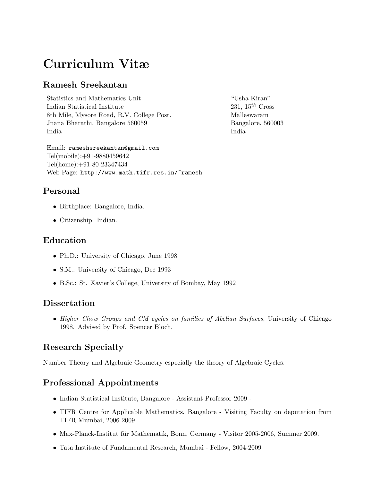# Curriculum Vitæ

# Ramesh Sreekantan

Statistics and Mathematics Unit "Usha Kiran" Indian Statistical Institute 231,  $15^{th}$  Cross 8th Mile, Mysore Road, R.V. College Post. Malleswaram Jnana Bharathi, Bangalore 560059 Bangalore, 560003 India India

Email: rameshsreekantan@gmail.com Tel(mobile):+91-9880459642 Tel(home):+91-80-23347434 Web Page: http://www.math.tifr.res.in/~ramesh

# Personal

- Birthplace: Bangalore, India.
- Citizenship: Indian.

## Education

- Ph.D.: University of Chicago, June 1998
- S.M.: University of Chicago, Dec 1993
- B.Sc.: St. Xavier's College, University of Bombay, May 1992

# **Dissertation**

• Higher Chow Groups and CM cycles on families of Abelian Surfaces, University of Chicago 1998. Advised by Prof. Spencer Bloch.

# Research Specialty

Number Theory and Algebraic Geometry especially the theory of Algebraic Cycles.

# Professional Appointments

- Indian Statistical Institute, Bangalore Assistant Professor 2009 -
- TIFR Centre for Applicable Mathematics, Bangalore Visiting Faculty on deputation from TIFR Mumbai, 2006-2009
- Max-Planck-Institut für Mathematik, Bonn, Germany Visitor 2005-2006, Summer 2009.
- Tata Institute of Fundamental Research, Mumbai Fellow, 2004-2009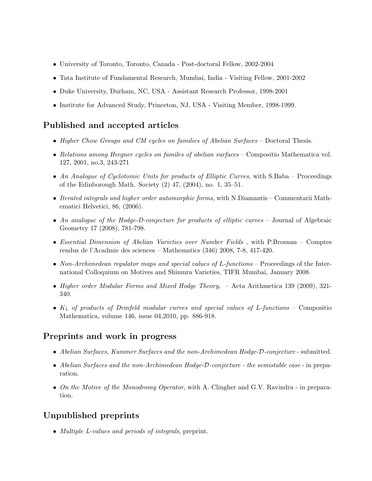- University of Toronto, Toronto, Canada Post-doctoral Fellow, 2002-2004
- Tata Institute of Fundamental Research, Mumbai, India Visiting Fellow, 2001-2002
- Duke University, Durham, NC, USA Assistant Research Professor, 1998-2001
- Institute for Advanced Study, Princeton, NJ, USA Visiting Member, 1998-1999.

## Published and accepted articles

- Higher Chow Groups and CM cycles on families of Abelian Surfaces Doctoral Thesis.
- Relations among Heegner cycles on familes of abelian surfaces Compositio Mathematica vol. 127, 2001, no.3, 243-271
- An Analogue of Cyclotomic Units for products of Elliptic Curves, with S.Baba Proceedings of the Edinborough Math. Society (2) 47, (2004), no. 1, 35–51.
- Iterated integrals and higher order automorphic forms, with N.Diamantis Commentarii Mathematici Helvetici, 86, (2006).
- An analogue of the Hodge-D-conjecture for products of elliptic curves Journal of Algebraic Geometry 17 (2008), 781-798.
- Essential Dimension of Abelian Varieties over Number Fields, with P.Brosnan Comptes rendus de l'Acadmie des sciences – Mathematics (346) 2008, 7-8, 417-420.
- Non-Archimedean regulator maps and special values of L-functions Proceedings of the International Colloquium on Motives and Shimura Varieties, TIFR Mumbai, January 2008.
- Higher order Modular Forms and Mixed Hodge Theory,  $-$  Acta Arithmetica 139 (2009), 321-340.
- $K_1$  of products of Drinfeld modular curves and special values of L-functions Compositio Mathematica, volume 146, issue 04,2010, pp. 886-918.

#### Preprints and work in progress

- Abelian Surfaces, Kummer Surfaces and the non-Archimedean Hodge-D-conjecture submitted.
- Abelian Surfaces and the non-Archimedean Hodge-D-conjecture the semistable case in preparation.
- On the Motive of the Monodromy Operator, with A. Clingher and G.V. Ravindra in preparation.

# Unpublished preprints

• Multiple L-values and periods of integrals, preprint.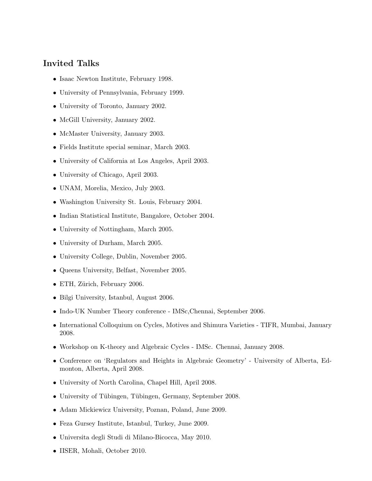## Invited Talks

- Isaac Newton Institute, February 1998.
- University of Pennsylvania, February 1999.
- University of Toronto, January 2002.
- McGill University, January 2002.
- McMaster University, January 2003.
- Fields Institute special seminar, March 2003.
- University of California at Los Angeles, April 2003.
- University of Chicago, April 2003.
- UNAM, Morelia, Mexico, July 2003.
- Washington University St. Louis, February 2004.
- Indian Statistical Institute, Bangalore, October 2004.
- University of Nottingham, March 2005.
- University of Durham, March 2005.
- University College, Dublin, November 2005.
- Queens University, Belfast, November 2005.
- ETH, Zürich, February 2006.
- Bilgi University, Istanbul, August 2006.
- Indo-UK Number Theory conference IMSc, Chennai, September 2006.
- International Colloquium on Cycles, Motives and Shimura Varieties TIFR, Mumbai, January 2008.
- Workshop on K-theory and Algebraic Cycles IMSc. Chennai, January 2008.
- Conference on 'Regulators and Heights in Algebraic Geometry' University of Alberta, Edmonton, Alberta, April 2008.
- University of North Carolina, Chapel Hill, April 2008.
- University of Tübingen, Tübingen, Germany, September 2008.
- Adam Mickiewicz University, Poznan, Poland, June 2009.
- Feza Gursey Institute, Istanbul, Turkey, June 2009.
- Universita degli Studi di Milano-Bicocca, May 2010.
- IISER, Mohali, October 2010.